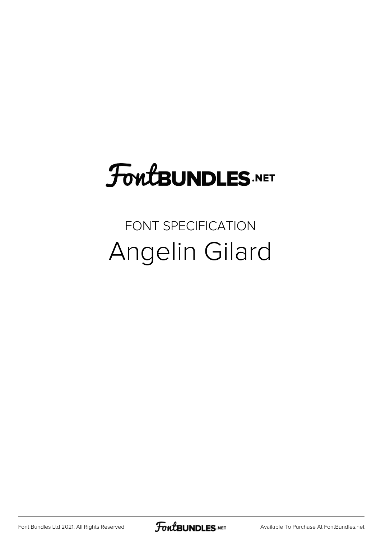## **FoutBUNDLES.NET**

## FONT SPECIFICATION Angelin Gilard

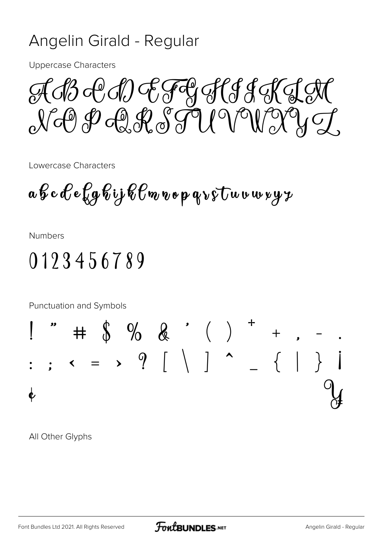## Angelin Girald - Regular

**Uppercase Characters** 

A B & A) E FE HI S A K J N N-@P-@RTUVWYY

Lowercase Characters

 $a \not\in c \not\in c \not\in q \not\in i \not\in c \not\in o \not\in q \rightarrow \circ \cup w \cup w \not\sim y \not\sim$ 

**Numbers** 

## 0123456789

Punctuation and Symbols



All Other Glyphs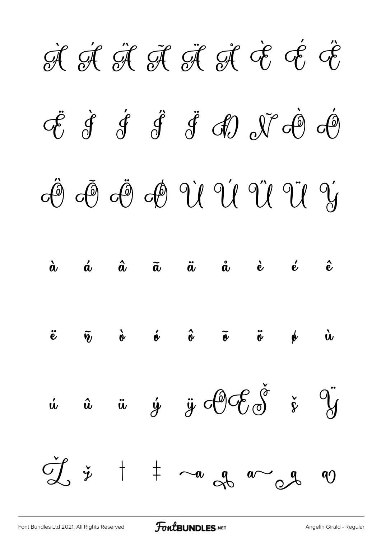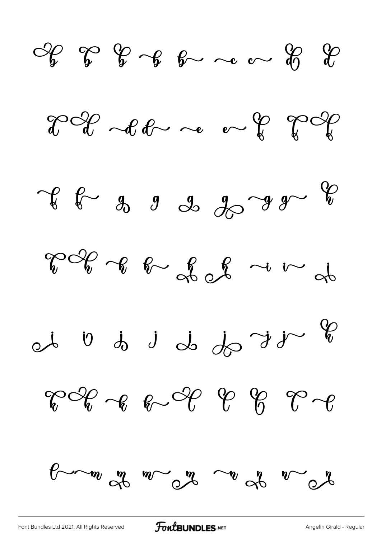$\begin{array}{ccccccccc}\n\mathcal{L} & \mathcal{L} & \mathcal{L} & \mathcal{L} & \mathcal{L} & \mathcal{L} & \mathcal{L} & \mathcal{L} & \mathcal{L} & \mathcal{L} & \mathcal{L} & \mathcal{L} & \mathcal{L} & \mathcal{L} & \mathcal{L} & \mathcal{L} & \mathcal{L} & \mathcal{L} & \mathcal{L} & \mathcal{L} & \mathcal{L} & \mathcal{L} & \mathcal{L} & \mathcal{L} & \mathcal{L} & \mathcal{L} & \mathcal{L} & \mathcal{L} & \mathcal{L} & \mathcal{L} &$ 

 $2020$  alone of  $202$ 

 $x^{2} - 3 - 9 - 3 - 3 - 9 - 8$ 

 $\nabla \mathscr{C}_{v}$  of  $\nabla \mathscr{C}_{v}$  of  $\omega$  in at

 $\int d\theta$   $\int d\theta$   $\int d\theta$   $\int d\theta$ 

 $\begin{picture}(60,6) \put(0,0) {\put(0,0){\vector(1,0){180}} \put(1,0){\vector(1,0){180}} \put(1,0){\vector(1,0){180}} \put(1,0){\vector(1,0){180}} \put(1,0){\vector(1,0){180}} \put(1,0){\vector(1,0){180}} \put(1,0){\vector(1,0){180}} \put(1,0){\vector(1,0){180}} \put(1,0){\vector(1,0){180}} \put(1,0){\vector(1,0){180}} \put(1,0){\vector(1,0){180}} \put(1,$ 



[Font Bundles Ltd 2021. All Rights Reserved](https://fontbundles.net/) **FoutBUNDLES.NET** [Angelin Girald - Regular](https://fontbundles.net/)